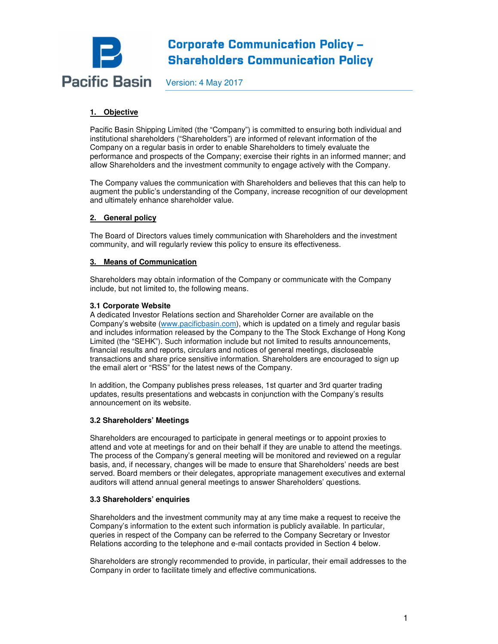

# **Corporate Communication Policy -Shareholders Communication Policy**

Version: 4 May 2017

# **1. Objective**

Pacific Basin Shipping Limited (the "Company") is committed to ensuring both individual and institutional shareholders ("Shareholders") are informed of relevant information of the Company on a regular basis in order to enable Shareholders to timely evaluate the performance and prospects of the Company; exercise their rights in an informed manner; and allow Shareholders and the investment community to engage actively with the Company.

The Company values the communication with Shareholders and believes that this can help to augment the public's understanding of the Company, increase recognition of our development and ultimately enhance shareholder value.

# **2. General policy**

The Board of Directors values timely communication with Shareholders and the investment community, and will regularly review this policy to ensure its effectiveness.

# **3. Means of Communication**

Shareholders may obtain information of the Company or communicate with the Company include, but not limited to, the following means.

# **3.1 Corporate Website**

A dedicated Investor Relations section and Shareholder Corner are available on the Company's website (www.pacificbasin.com), which is updated on a timely and regular basis and includes information released by the Company to the The Stock Exchange of Hong Kong Limited (the "SEHK"). Such information include but not limited to results announcements, financial results and reports, circulars and notices of general meetings, discloseable transactions and share price sensitive information. Shareholders are encouraged to sign up the email alert or "RSS" for the latest news of the Company.

In addition, the Company publishes press releases, 1st quarter and 3rd quarter trading updates, results presentations and webcasts in conjunction with the Company's results announcement on its website.

# **3.2 Shareholders' Meetings**

Shareholders are encouraged to participate in general meetings or to appoint proxies to attend and vote at meetings for and on their behalf if they are unable to attend the meetings. The process of the Company's general meeting will be monitored and reviewed on a regular basis, and, if necessary, changes will be made to ensure that Shareholders' needs are best served. Board members or their delegates, appropriate management executives and external auditors will attend annual general meetings to answer Shareholders' questions.

# **3.3 Shareholders' enquiries**

Shareholders and the investment community may at any time make a request to receive the Company's information to the extent such information is publicly available. In particular, queries in respect of the Company can be referred to the Company Secretary or Investor Relations according to the telephone and e-mail contacts provided in Section 4 below.

Shareholders are strongly recommended to provide, in particular, their email addresses to the Company in order to facilitate timely and effective communications.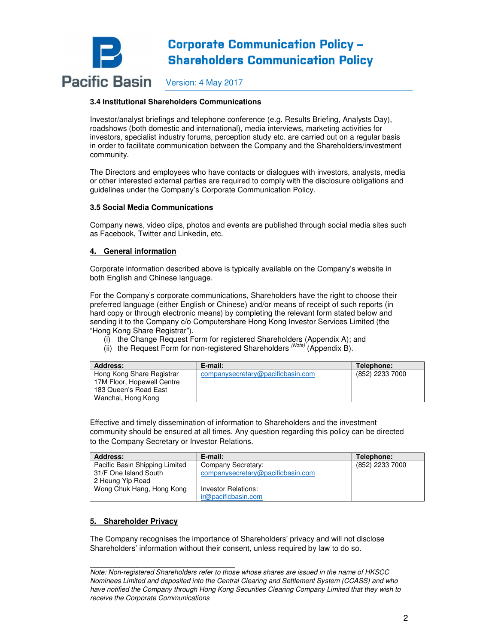

### **3.4 Institutional Shareholders Communications**

Investor/analyst briefings and telephone conference (e.g. Results Briefing, Analysts Day), roadshows (both domestic and international), media interviews, marketing activities for investors, specialist industry forums, perception study etc. are carried out on a regular basis in order to facilitate communication between the Company and the Shareholders/investment community.

The Directors and employees who have contacts or dialogues with investors, analysts, media or other interested external parties are required to comply with the disclosure obligations and guidelines under the Company's Corporate Communication Policy.

#### **3.5 Social Media Communications**

Company news, video clips, photos and events are published through social media sites such as Facebook, Twitter and Linkedin, etc.

#### **4. General information**

Corporate information described above is typically available on the Company's website in both English and Chinese language.

For the Company's corporate communications, Shareholders have the right to choose their preferred language (either English or Chinese) and/or means of receipt of such reports (in hard copy or through electronic means) by completing the relevant form stated below and sending it to the Company c/o Computershare Hong Kong Investor Services Limited (the "Hong Kong Share Registrar").

- (i) the Change Request Form for registered Shareholders (Appendix A); and
- (ii) the Request Form for non-registered Shareholders  $(Note)$  (Appendix B).

| Address:                   | E-mail:                           | Telephone:      |
|----------------------------|-----------------------------------|-----------------|
| Hong Kong Share Registrar  | companysecretary@pacificbasin.com | (852) 2233 7000 |
| 17M Floor, Hopewell Centre |                                   |                 |
| 183 Queen's Road East      |                                   |                 |
| Wanchai, Hong Kong         |                                   |                 |

Effective and timely dissemination of information to Shareholders and the investment community should be ensured at all times. Any question regarding this policy can be directed to the Company Secretary or Investor Relations.

| <b>Address:</b>                | E-mail:                           | Telephone:      |
|--------------------------------|-----------------------------------|-----------------|
| Pacific Basin Shipping Limited | Company Secretary:                | (852) 2233 7000 |
| 31/F One Island South          | companysecretary@pacificbasin.com |                 |
| 2 Heung Yip Road               |                                   |                 |
| Wong Chuk Hang, Hong Kong      | Investor Relations:               |                 |
|                                | ir@pacificbasin.com               |                 |

# **5. Shareholder Privacy**

\_\_\_\_\_\_\_\_\_\_\_\_\_\_\_\_\_\_\_\_\_\_\_\_\_\_\_\_\_\_\_\_\_\_

The Company recognises the importance of Shareholders' privacy and will not disclose Shareholders' information without their consent, unless required by law to do so.

Note: Non-registered Shareholders refer to those whose shares are issued in the name of HKSCC Nominees Limited and deposited into the Central Clearing and Settlement System (CCASS) and who have notified the Company through Hong Kong Securities Clearing Company Limited that they wish to receive the Corporate Communications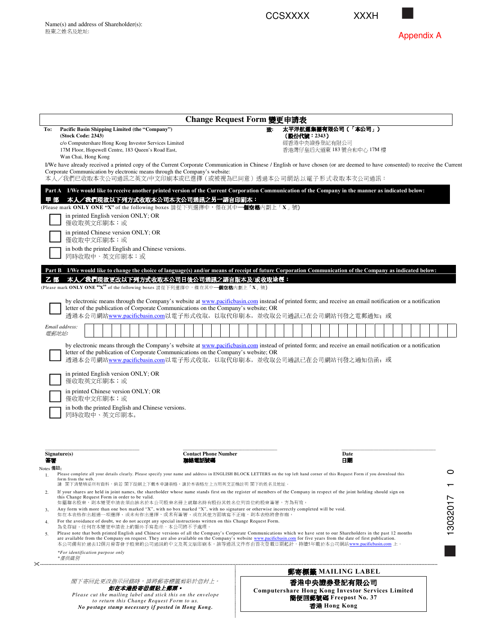



|                 |                                                                                                                                                                                                                                                              |                                                    |                                                                                                                                                           |  |               |  |  |  |  |  |  |        |  | Change Request Form 變更申請表   |  |  |    |  |  |                           |  |               |      |  |                                                                                    |  |  |  |  |          |
|-----------------|--------------------------------------------------------------------------------------------------------------------------------------------------------------------------------------------------------------------------------------------------------------|----------------------------------------------------|-----------------------------------------------------------------------------------------------------------------------------------------------------------|--|---------------|--|--|--|--|--|--|--------|--|-----------------------------|--|--|----|--|--|---------------------------|--|---------------|------|--|------------------------------------------------------------------------------------|--|--|--|--|----------|
| To:             | Pacific Basin Shipping Limited (the "Company")<br>(Stock Code: 2343)                                                                                                                                                                                         |                                                    |                                                                                                                                                           |  |               |  |  |  |  |  |  |        |  |                             |  |  | 致: |  |  | (股份代號:2343)               |  |               |      |  | 太平洋航運集團有限公司(「本公司」)                                                                 |  |  |  |  |          |
|                 | c/o Computershare Hong Kong Investor Services Limited                                                                                                                                                                                                        |                                                    |                                                                                                                                                           |  |               |  |  |  |  |  |  |        |  |                             |  |  |    |  |  |                           |  | 經香港中央證券登記有限公司 |      |  |                                                                                    |  |  |  |  |          |
|                 | 17M Floor, Hopewell Centre, 183 Queen's Road East,<br>Wan Chai, Hong Kong                                                                                                                                                                                    |                                                    |                                                                                                                                                           |  |               |  |  |  |  |  |  |        |  |                             |  |  |    |  |  | 香港灣仔皇后大道東 183 號合和中心 17M 樓 |  |               |      |  |                                                                                    |  |  |  |  |          |
|                 | I/We have already received a printed copy of the Current Corporate Communication in Chinese / English or have chosen (or are deemed to have consented) to receive the Current                                                                                |                                                    |                                                                                                                                                           |  |               |  |  |  |  |  |  |        |  |                             |  |  |    |  |  |                           |  |               |      |  |                                                                                    |  |  |  |  |          |
|                 | Corporate Communication by electronic means through the Company's website:<br>本人/我們已收取本次公司通訊之英文/中文印刷本或已選擇(或被視為已同意)透過本公司網站以電子形式收取本次公司通訊:                                                                                                                      |                                                    |                                                                                                                                                           |  |               |  |  |  |  |  |  |        |  |                             |  |  |    |  |  |                           |  |               |      |  |                                                                                    |  |  |  |  |          |
|                 | Part A I/We would like to receive another printed version of the Current Corporation Communication of the Company in the manner as indicated below:                                                                                                          |                                                    |                                                                                                                                                           |  |               |  |  |  |  |  |  |        |  |                             |  |  |    |  |  |                           |  |               |      |  |                                                                                    |  |  |  |  |          |
| 甲部              | 本人/我們現欲以下列方式收取本公司本次公司通訊之另一語言印刷本:                                                                                                                                                                                                                             |                                                    |                                                                                                                                                           |  |               |  |  |  |  |  |  |        |  |                             |  |  |    |  |  |                           |  |               |      |  |                                                                                    |  |  |  |  |          |
|                 | (Please mark ONLY ONE "X" of the following boxes 請從下列選擇中,僅在其中一 <b>個空格</b> 內劃上「X」號)                                                                                                                                                                           |                                                    |                                                                                                                                                           |  |               |  |  |  |  |  |  |        |  |                             |  |  |    |  |  |                           |  |               |      |  |                                                                                    |  |  |  |  |          |
|                 |                                                                                                                                                                                                                                                              |                                                    | in printed English version ONLY; OR<br>僅收取英文印刷本;或                                                                                                         |  |               |  |  |  |  |  |  |        |  |                             |  |  |    |  |  |                           |  |               |      |  |                                                                                    |  |  |  |  |          |
|                 |                                                                                                                                                                                                                                                              |                                                    | in printed Chinese version ONLY; OR<br>僅收取中文印刷本;或                                                                                                         |  |               |  |  |  |  |  |  |        |  |                             |  |  |    |  |  |                           |  |               |      |  |                                                                                    |  |  |  |  |          |
|                 |                                                                                                                                                                                                                                                              |                                                    | in both the printed English and Chinese versions.                                                                                                         |  |               |  |  |  |  |  |  |        |  |                             |  |  |    |  |  |                           |  |               |      |  |                                                                                    |  |  |  |  |          |
|                 |                                                                                                                                                                                                                                                              |                                                    | 同時收取中、英文印刷本;或                                                                                                                                             |  |               |  |  |  |  |  |  |        |  |                             |  |  |    |  |  |                           |  |               |      |  |                                                                                    |  |  |  |  |          |
|                 | Part B I/We would like to change the choice of language(s) and/or means of receipt of future Corporation Communication of the Company as indicated below:                                                                                                    |                                                    |                                                                                                                                                           |  |               |  |  |  |  |  |  |        |  |                             |  |  |    |  |  |                           |  |               |      |  |                                                                                    |  |  |  |  |          |
| 乙部              | 本人/我們現欲更改以下列方式收取本公司日後公司通訊之語言版本及/或收取途徑:                                                                                                                                                                                                                       |                                                    |                                                                                                                                                           |  |               |  |  |  |  |  |  |        |  |                             |  |  |    |  |  |                           |  |               |      |  |                                                                                    |  |  |  |  |          |
|                 | (Please mark ONLY ONE "X" of the following boxes 請從下列選擇中, 僅在其中一個空格內劃上「X」號)                                                                                                                                                                                   |                                                    |                                                                                                                                                           |  |               |  |  |  |  |  |  |        |  |                             |  |  |    |  |  |                           |  |               |      |  |                                                                                    |  |  |  |  |          |
|                 |                                                                                                                                                                                                                                                              |                                                    | by electronic means through the Company's website at www.pacificbasin.com instead of printed form; and receive an email notification or a notification    |  |               |  |  |  |  |  |  |        |  |                             |  |  |    |  |  |                           |  |               |      |  |                                                                                    |  |  |  |  |          |
|                 |                                                                                                                                                                                                                                                              |                                                    | letter of the publication of Corporate Communications on the Company's website; OR<br>透過本公司網站www.pacificbasin.com以電子形式收取, 以取代印刷本, 並收取公司通訊已在公司網站刊發之電郵通知; 或 |  |               |  |  |  |  |  |  |        |  |                             |  |  |    |  |  |                           |  |               |      |  |                                                                                    |  |  |  |  |          |
|                 | Email address:                                                                                                                                                                                                                                               |                                                    |                                                                                                                                                           |  |               |  |  |  |  |  |  |        |  |                             |  |  |    |  |  |                           |  |               |      |  |                                                                                    |  |  |  |  |          |
|                 | 電郵地址:                                                                                                                                                                                                                                                        |                                                    |                                                                                                                                                           |  |               |  |  |  |  |  |  |        |  |                             |  |  |    |  |  |                           |  |               |      |  |                                                                                    |  |  |  |  |          |
|                 |                                                                                                                                                                                                                                                              |                                                    | in printed Chinese version ONLY; OR<br>僅收取中文印刷本;或<br>in both the printed English and Chinese versions.<br>同時收取中、英文印刷本。                                    |  |               |  |  |  |  |  |  |        |  |                             |  |  |    |  |  |                           |  |               |      |  |                                                                                    |  |  |  |  |          |
|                 |                                                                                                                                                                                                                                                              |                                                    |                                                                                                                                                           |  |               |  |  |  |  |  |  |        |  |                             |  |  |    |  |  |                           |  |               |      |  |                                                                                    |  |  |  |  |          |
|                 |                                                                                                                                                                                                                                                              |                                                    |                                                                                                                                                           |  |               |  |  |  |  |  |  |        |  |                             |  |  |    |  |  |                           |  |               |      |  |                                                                                    |  |  |  |  |          |
|                 | Signature(s)                                                                                                                                                                                                                                                 |                                                    |                                                                                                                                                           |  |               |  |  |  |  |  |  |        |  | <b>Contact Phone Number</b> |  |  |    |  |  |                           |  |               | Date |  |                                                                                    |  |  |  |  |          |
| 즐岩<br>Notes 備註: |                                                                                                                                                                                                                                                              |                                                    |                                                                                                                                                           |  |               |  |  |  |  |  |  | *終電話號碼 |  |                             |  |  |    |  |  |                           |  |               | 日期   |  |                                                                                    |  |  |  |  |          |
| 1.              | Please complete all your details clearly. Please specify your name and address in ENGLISH BLOCK LETTERS on the top left hand corner of this Request Form if you download this<br>form from the web.                                                          |                                                    |                                                                                                                                                           |  |               |  |  |  |  |  |  |        |  |                             |  |  |    |  |  |                           |  |               |      |  |                                                                                    |  |  |  |  |          |
|                 | 請 閣下清楚填妥所有資料,倘若 閣下從網上下載本申請表格,請於本表格左上方用英文正楷註明 閣下的姓名及地址,                                                                                                                                                                                                       |                                                    |                                                                                                                                                           |  |               |  |  |  |  |  |  |        |  |                             |  |  |    |  |  |                           |  |               |      |  |                                                                                    |  |  |  |  |          |
| 2.              | If your shares are held in joint names, the shareholder whose name stands first on the register of members of the Company in respect of the joint holding should sign on<br>this Change Request Form in order to be valid.                                   |                                                    |                                                                                                                                                           |  |               |  |  |  |  |  |  |        |  |                             |  |  |    |  |  |                           |  |               |      |  |                                                                                    |  |  |  |  |          |
| 3.              | 如屬聯名股東,則本變更申請表須由該名於本公司股東名冊上就聯名持有股份其姓名位列首位的股東簽署,方為有效。<br>Any form with more than one box marked "X", with no box marked "X", with no signature or otherwise incorrectly completed will be void.                                                               |                                                    |                                                                                                                                                           |  |               |  |  |  |  |  |  |        |  |                             |  |  |    |  |  |                           |  |               |      |  |                                                                                    |  |  |  |  | 13032017 |
| 4.              | 如在本表格作出超過一項選擇、或未有作出選擇、或未有簽署、或在其他方面填寫不正確。則本表格將會作廢。<br>For the avoidance of doubt, we do not accept any special instructions written on this Change Request Form.                                                                                              |                                                    |                                                                                                                                                           |  |               |  |  |  |  |  |  |        |  |                             |  |  |    |  |  |                           |  |               |      |  |                                                                                    |  |  |  |  |          |
| 5.              | 為免存疑,任何在本變更申請表上的額外手寫指示,本公司將不予處理<br>Please note that both printed English and Chinese versions of all the Company's Corporate Communications which we have sent to our Shareholders in the past 12 months                                                     |                                                    |                                                                                                                                                           |  |               |  |  |  |  |  |  |        |  |                             |  |  |    |  |  |                           |  |               |      |  |                                                                                    |  |  |  |  |          |
|                 | are available from the Company on request. They are also available on the Company's website www.pacificbasin.com for five years from the date of first publication.<br>本公司備有於過去12個月曾寄發予股東的公司通訊的中文及英文版印刷本。該等通訊文件亦由首次登載日期起計,持續5年載於本公司網站www.pacificbasin.com 上。 |                                                    |                                                                                                                                                           |  |               |  |  |  |  |  |  |        |  |                             |  |  |    |  |  |                           |  |               |      |  |                                                                                    |  |  |  |  |          |
|                 | *For identification purpose only<br>* 僅供識別                                                                                                                                                                                                                   |                                                    |                                                                                                                                                           |  |               |  |  |  |  |  |  |        |  |                             |  |  |    |  |  |                           |  |               |      |  |                                                                                    |  |  |  |  |          |
|                 |                                                                                                                                                                                                                                                              |                                                    |                                                                                                                                                           |  |               |  |  |  |  |  |  |        |  |                             |  |  |    |  |  |                           |  |               |      |  | 郵寄標籤 MAILING LABEL                                                                 |  |  |  |  |          |
|                 |                                                                                                                                                                                                                                                              |                                                    | 閣下寄回此更改指示回條時,請將郵寄標籤剪貼於信封上。                                                                                                                                |  |               |  |  |  |  |  |  |        |  |                             |  |  |    |  |  |                           |  |               |      |  | 香港中央證券登記有限公司                                                                       |  |  |  |  |          |
|                 |                                                                                                                                                                                                                                                              | No postage stamp necessary if posted in Hong Kong. | Please cut the mailing label and stick this on the envelope<br>to return this Change Request Form to us.                                                  |  | 如在本港投寄毋須貼上郵票· |  |  |  |  |  |  |        |  |                             |  |  |    |  |  |                           |  | 香港 Hong Kong  |      |  | <b>Computershare Hong Kong Investor Services Limited</b><br>簡便回郵號碼 Freepost No. 37 |  |  |  |  |          |